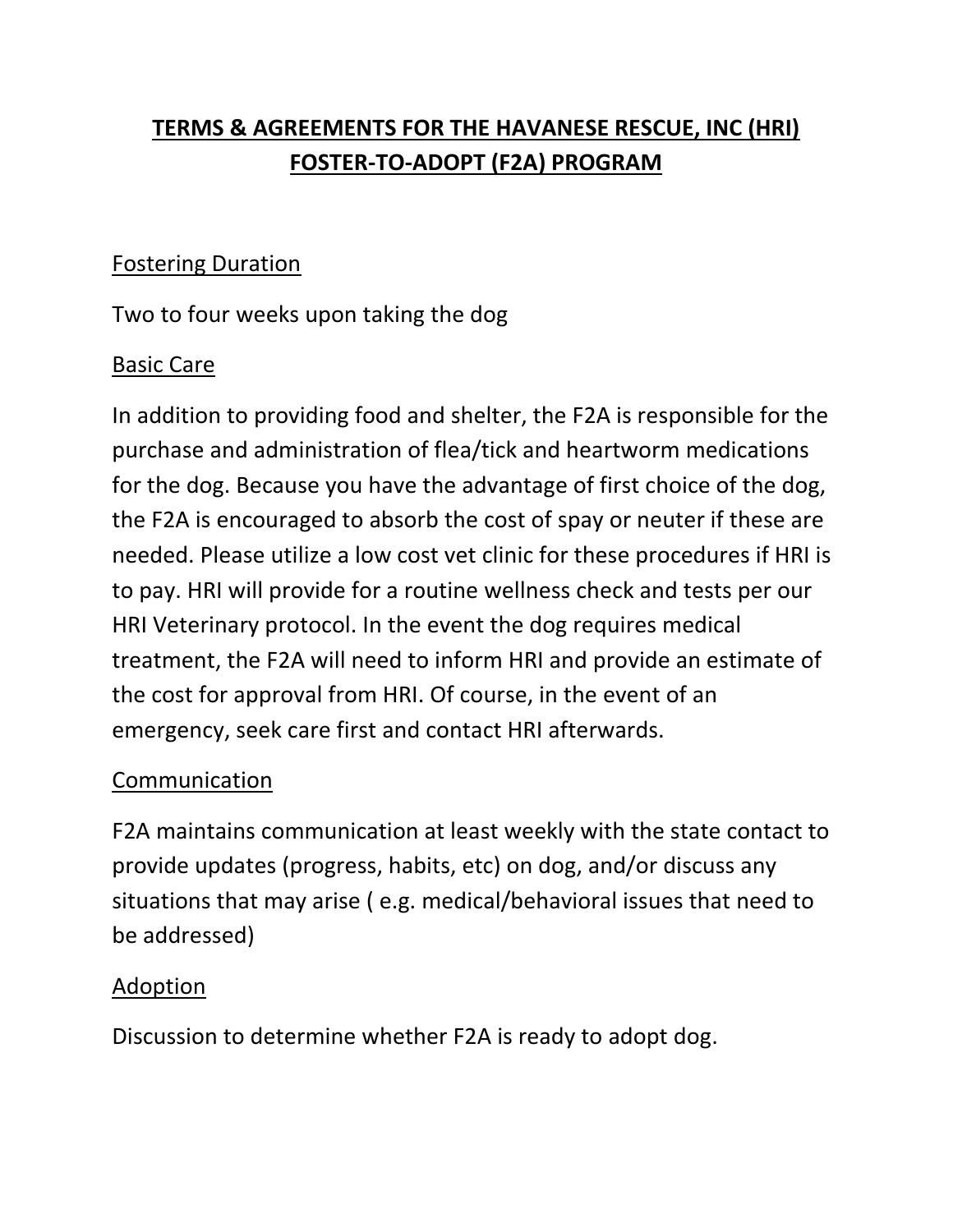# **TERMS & AGREEMENTS FOR THE HAVANESE RESCUE, INC (HRI) FOSTER-TO-ADOPT (F2A) PROGRAM**

### Fostering Duration

Two to four weeks upon taking the dog

### Basic Care

In addition to providing food and shelter, the F2A is responsible for the purchase and administration of flea/tick and heartworm medications for the dog. Because you have the advantage of first choice of the dog, the F2A is encouraged to absorb the cost of spay or neuter if these are needed. Please utilize a low cost vet clinic for these procedures if HRI is to pay. HRI will provide for a routine wellness check and tests per our HRI Veterinary protocol. In the event the dog requires medical treatment, the F2A will need to inform HRI and provide an estimate of the cost for approval from HRI. Of course, in the event of an emergency, seek care first and contact HRI afterwards.

# Communication

F2A maintains communication at least weekly with the state contact to provide updates (progress, habits, etc) on dog, and/or discuss any situations that may arise ( e.g. medical/behavioral issues that need to be addressed)

# Adoption

Discussion to determine whether F2A is ready to adopt dog.